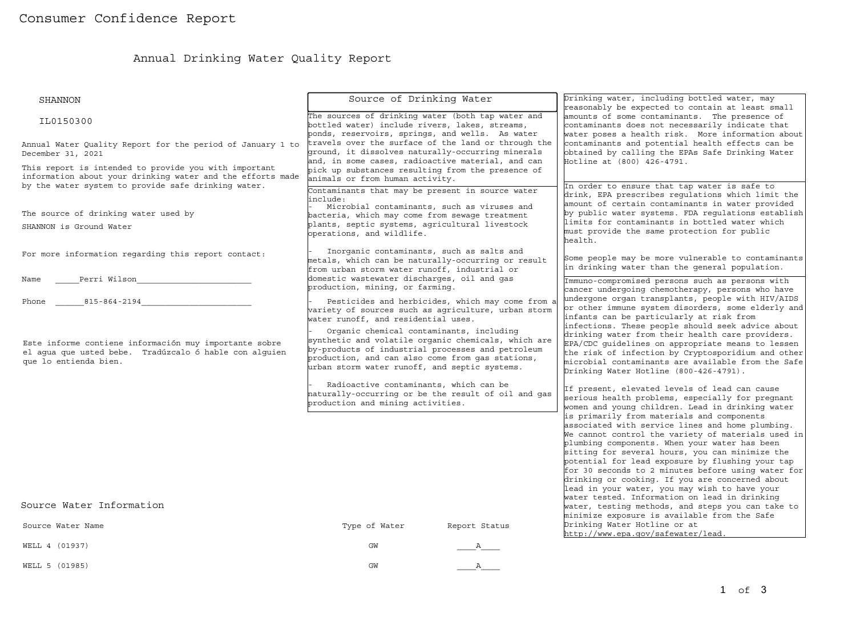# Annual Drinking Water Quality Report

| SHANNON                                                                                                                                                                    | Source of Drinking Water                                                                                                                                                                                                                                  |                                                  | Drinking water, including bottled water, may<br>reasonably be expected to contain at least small                                                                                                                                                                                                                                                                                                                                                                       |  |  |
|----------------------------------------------------------------------------------------------------------------------------------------------------------------------------|-----------------------------------------------------------------------------------------------------------------------------------------------------------------------------------------------------------------------------------------------------------|--------------------------------------------------|------------------------------------------------------------------------------------------------------------------------------------------------------------------------------------------------------------------------------------------------------------------------------------------------------------------------------------------------------------------------------------------------------------------------------------------------------------------------|--|--|
| IL0150300                                                                                                                                                                  | The sources of drinking water (both tap water and<br>bottled water) include rivers, lakes, streams,<br>ponds, reservoirs, springs, and wells. As water                                                                                                    |                                                  | amounts of some contaminants. The presence of<br>contaminants does not necessarily indicate that<br>water poses a health risk. More information about                                                                                                                                                                                                                                                                                                                  |  |  |
| Annual Water Quality Report for the period of January 1 to<br>December 31, 2021                                                                                            | travels over the surface of the land or through the<br>ground, it dissolves naturally-occurring minerals<br>and, in some cases, radioactive material, and can                                                                                             |                                                  | contaminants and potential health effects can be<br>obtained by calling the EPAs Safe Drinking Water<br>Hotline at (800) 426-4791.                                                                                                                                                                                                                                                                                                                                     |  |  |
| This report is intended to provide you with important<br>information about your drinking water and the efforts made<br>by the water system to provide safe drinking water. | pick up substances resulting from the presence of<br>animals or from human activity.<br>Contaminants that may be present in source water                                                                                                                  |                                                  | In order to ensure that tap water is safe to                                                                                                                                                                                                                                                                                                                                                                                                                           |  |  |
| The source of drinking water used by<br>SHANNON is Ground Water                                                                                                            | linclude:<br>Microbial contaminants, such as viruses and<br>bacteria, which may come from sewage treatment<br>plants, septic systems, agricultural livestock<br>operations, and wildlife.                                                                 |                                                  | drink, EPA prescribes requlations which limit the<br>amount of certain contaminants in water provided<br>by public water systems. FDA requlations establish<br>limits for contaminants in bottled water which<br>must provide the same protection for public<br>health.                                                                                                                                                                                                |  |  |
| For more information regarding this report contact:                                                                                                                        | Inorganic contaminants, such as salts and<br>metals, which can be naturally-occurring or result<br>from urban storm water runoff, industrial or                                                                                                           |                                                  | Some people may be more vulnerable to contaminants<br>in drinking water than the general population.                                                                                                                                                                                                                                                                                                                                                                   |  |  |
| Name                                                                                                                                                                       | domestic wastewater discharges, oil and gas<br>production, mining, or farming.                                                                                                                                                                            |                                                  | Immuno-compromised persons such as persons with<br>cancer undergoing chemotherapy, persons who have                                                                                                                                                                                                                                                                                                                                                                    |  |  |
| Phone 815-864-2194                                                                                                                                                         | variety of sources such as agriculture, urban storm<br>water runoff, and residential uses.                                                                                                                                                                | Pesticides and herbicides, which may come from a | undergone organ transplants, people with HIV/AIDS<br>or other immune system disorders, some elderly and<br>infants can be particularly at risk from<br>infections. These people should seek advice about                                                                                                                                                                                                                                                               |  |  |
| Este informe contiene información muy importante sobre<br>el aqua que usted bebe. Tradúzcalo ó hable con alquien<br>que lo entienda bien.                                  | Organic chemical contaminants, including<br>synthetic and volatile organic chemicals, which are<br>by-products of industrial processes and petroleum<br>production, and can also come from gas stations,<br>urban storm water runoff, and septic systems. |                                                  | drinking water from their health care providers.<br>EPA/CDC guidelines on appropriate means to lessen<br>the risk of infection by Cryptosporidium and other<br>microbial contaminants are available from the Safe<br>Drinking Water Hotline (800-426-4791).                                                                                                                                                                                                            |  |  |
|                                                                                                                                                                            | Radioactive contaminants, which can be<br>haturally-occurring or be the result of oil and gas<br>production and mining activities.                                                                                                                        |                                                  | If present, elevated levels of lead can cause<br>serious health problems, especially for pregnant<br>women and young children. Lead in drinking water                                                                                                                                                                                                                                                                                                                  |  |  |
|                                                                                                                                                                            |                                                                                                                                                                                                                                                           |                                                  | is primarily from materials and components<br>associated with service lines and home plumbing.<br>We cannot control the variety of materials used in<br>plumbing components. When your water has been<br>sitting for several hours, you can minimize the<br>potential for lead exposure by flushing your tap<br>for 30 seconds to 2 minutes before using water for<br>drinking or cooking. If you are concerned about<br>lead in your water, you may wish to have your |  |  |
| Source Water Information                                                                                                                                                   |                                                                                                                                                                                                                                                           |                                                  | water tested. Information on lead in drinking<br>water, testing methods, and steps you can take to<br>minimize exposure is available from the Safe                                                                                                                                                                                                                                                                                                                     |  |  |
| Source Water Name                                                                                                                                                          | Type of Water                                                                                                                                                                                                                                             | Report Status                                    | Drinking Water Hotline or at<br>http://www.epa.gov/safewater/lead.                                                                                                                                                                                                                                                                                                                                                                                                     |  |  |
| WELL 4 (01937)                                                                                                                                                             | GW                                                                                                                                                                                                                                                        | A                                                |                                                                                                                                                                                                                                                                                                                                                                                                                                                                        |  |  |
| WELL 5 (01985)                                                                                                                                                             | GW                                                                                                                                                                                                                                                        | $\begin{array}{c}\nA\n\end{array}$               |                                                                                                                                                                                                                                                                                                                                                                                                                                                                        |  |  |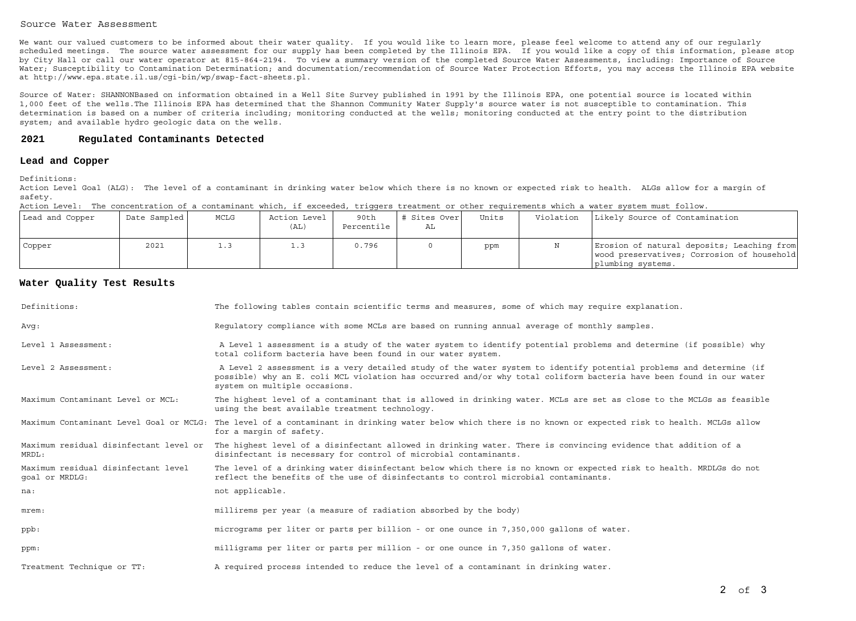#### Source Water Assessment

We want our valued customers to be informed about their water quality. If you would like to learn more, please feel welcome to attend any of our reqularly scheduled meetings. The source water assessment for our supply has been completed by the Illinois EPA. If you would like a copy of this information, please stopby City Hall or call our water operator at 815-864-2194. To view a summary version of the completed Source Water Assessments, including: Importance of Source Water; Susceptibility to Contamination Determination; and documentation/recommendation of Source Water Protection Efforts, you may access the Illinois EPA website at http://www.epa.state.il.us/cgi-bin/wp/swap-fact-sheets.pl.

Source of Water: SHANNONBased on information obtained in a Well Site Survey published in 1991 by the Illinois EPA, one potential source is located within 1,000 feet of the wells.The Illinois EPA has determined that the Shannon Community Water Supply's source water is not susceptible to contamination. This determination is based on a number of criteria including; monitoring conducted at the wells; monitoring conducted at the entry point to the distributionsystem; and available hydro geologic data on the wells.

#### **2021Regulated Contaminants Detected**

#### **Lead and Copper**

Definitions:

 Action Level Goal (ALG): The level of a contaminant in drinking water below which there is no known or expected risk to health. ALGs allow for a margin ofsafety.

| Action Level: The concentration of a contaminant which, if exceeded, triggers treatment or other requirements which a water system must follow. |  |  |  |  |  |  |
|-------------------------------------------------------------------------------------------------------------------------------------------------|--|--|--|--|--|--|
|                                                                                                                                                 |  |  |  |  |  |  |

| Lead and Copper | Date Sampled | MCLG | Action Level  <br>(AL) | 90th<br>Percentile | # Sites Over<br>AL | Units | Violation | Likely Source of Contamination                                                                                |
|-----------------|--------------|------|------------------------|--------------------|--------------------|-------|-----------|---------------------------------------------------------------------------------------------------------------|
| Copper          | 2021         |      |                        | 0.796              |                    | ppm   |           | Erosion of natural deposits; Leaching from<br>wood preservatives; Corrosion of household<br>plumbing systems. |

### **Water Quality Test Results**

| Definitions:                                          | The following tables contain scientific terms and measures, some of which may require explanation.                                                                                                                                                                         |
|-------------------------------------------------------|----------------------------------------------------------------------------------------------------------------------------------------------------------------------------------------------------------------------------------------------------------------------------|
| Avq:                                                  | Requlatory compliance with some MCLs are based on running annual average of monthly samples.                                                                                                                                                                               |
| Level 1 Assessment:                                   | A Level 1 assessment is a study of the water system to identify potential problems and determine (if possible) why<br>total coliform bacteria have been found in our water system.                                                                                         |
| Level 2 Assessment:                                   | A Level 2 assessment is a very detailed study of the water system to identify potential problems and determine (if<br>possible) why an E. coli MCL violation has occurred and/or why total coliform bacteria have been found in our water<br>system on multiple occasions. |
| Maximum Contaminant Level or MCL:                     | The highest level of a contaminant that is allowed in drinking water. MCLs are set as close to the MCLGs as feasible<br>using the best available treatment technology.                                                                                                     |
|                                                       | Maximum Contaminant Level Goal or MCLG: The level of a contaminant in drinking water below which there is no known or expected risk to health. MCLGs allow<br>for a margin of safety.                                                                                      |
| Maximum residual disinfectant level or<br>MRDL:       | The highest level of a disinfectant allowed in drinking water. There is convincing evidence that addition of a<br>disinfectant is necessary for control of microbial contaminants.                                                                                         |
| Maximum residual disinfectant level<br>goal or MRDLG: | The level of a drinking water disinfectant below which there is no known or expected risk to health. MRDLGs do not<br>reflect the benefits of the use of disinfectants to control microbial contaminants.                                                                  |
| na:                                                   | not applicable.                                                                                                                                                                                                                                                            |
| $m$ rem:                                              | millirems per year (a measure of radiation absorbed by the body)                                                                                                                                                                                                           |
| ppb:                                                  | micrograms per liter or parts per billion - or one ounce in 7,350,000 gallons of water.                                                                                                                                                                                    |
| ppm:                                                  | milligrams per liter or parts per million - or one ounce in 7,350 gallons of water.                                                                                                                                                                                        |
| Treatment Technique or TT:                            | A required process intended to reduce the level of a contaminant in drinking water.                                                                                                                                                                                        |